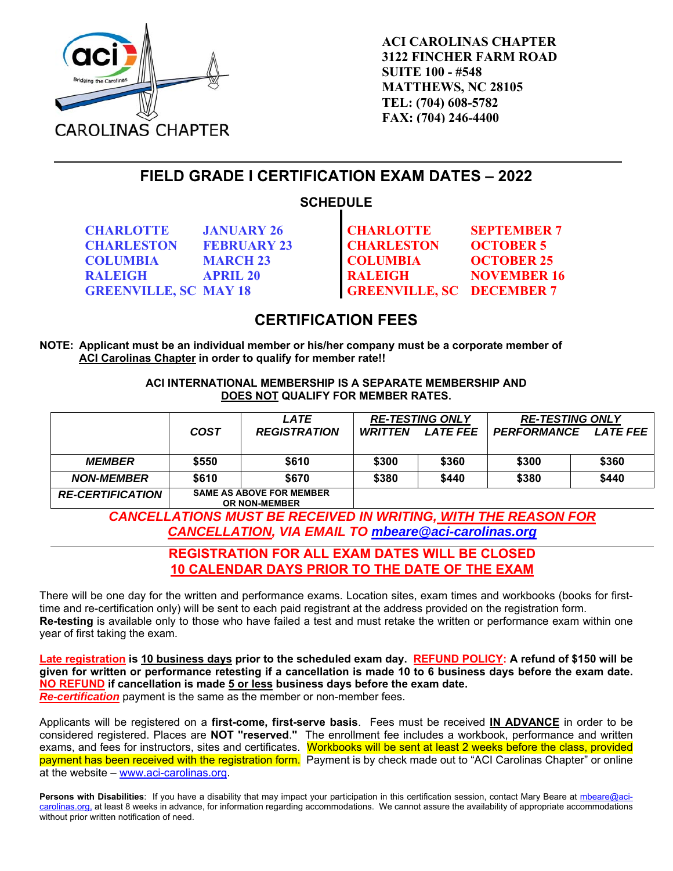

**ACI CAROLINAS CHAPTER 3122 FINCHER FARM ROAD SUITE 100 - #548 MATTHEWS, NC 28105 TEL: (704) 608-5782 FAX: (704) 246-4400** 

**FIELD GRADE I CERTIFICATION EXAM DATES – 2022** 

## **SCHEDULE**

**CHARLOTTE JANUARY 26 CHARLESTON FEBRUARY 23 COLUMBIA MARCH 23 COLUMBIA OCTOBER 25** 

**CHARLOTTE CHARLESTON SEPTEMBER 7 OCTOBER 5 RALEIGH APRIL 20 RALEIGH NOVEMBER 16 GREENVILLE, SC MAY 18 GREENVILLE, SC DECEMBER 7** 

# **CERTIFICATION FEES**

**NOTE: Applicant must be an individual member or his/her company must be a corporate member of ACI Carolinas Chapter in order to qualify for member rate!!** 

> **ACI INTERNATIONAL MEMBERSHIP IS A SEPARATE MEMBERSHIP AND DOES NOT QUALIFY FOR MEMBER RATES.**

|                         |                                 | LATE                | <b>RE-TESTING ONLY</b> |                 | <b>RE-TESTING ONLY</b> |          |
|-------------------------|---------------------------------|---------------------|------------------------|-----------------|------------------------|----------|
|                         | COST                            | <b>REGISTRATION</b> | <b>WRITTEN</b>         | <b>LATE FEE</b> | PERFORMANCE            | LATE FEE |
|                         |                                 |                     |                        |                 |                        |          |
| <i><b>MEMBER</b></i>    | \$550                           | \$610               | \$300                  | \$360           | \$300                  | \$360    |
| <b>NON-MEMBER</b>       | \$610                           | \$670               | \$380                  | \$440           | \$380                  | \$440    |
| <b>RE-CERTIFICATION</b> | <b>SAME AS ABOVE FOR MEMBER</b> |                     |                        |                 |                        |          |

**OR NON-MEMBER** 

*CANCELLATIONS MUST BE RECEIVED IN WRITING, WITH THE REASON FOR CANCELLATION, VIA EMAIL TO mbeare@aci-carolinas.org*

#### **REGISTRATION FOR ALL EXAM DATES WILL BE CLOSED 10 CALENDAR DAYS PRIOR TO THE DATE OF THE EXAM**

There will be one day for the written and performance exams. Location sites, exam times and workbooks (books for firsttime and re-certification only) will be sent to each paid registrant at the address provided on the registration form. **Re-testing** is available only to those who have failed a test and must retake the written or performance exam within one year of first taking the exam.

**Late registration is 10 business days prior to the scheduled exam day. REFUND POLICY: A refund of \$150 will be given for written or performance retesting if a cancellation is made 10 to 6 business days before the exam date. NO REFUND if cancellation is made 5 or less business days before the exam date.** *Re-certification* payment is the same as the member or non-member fees.

Applicants will be registered on a **first-come, first-serve basis**. Fees must be received **IN ADVANCE** in order to be considered registered. Places are **NOT "reserved**.**"** The enrollment fee includes a workbook, performance and written exams, and fees for instructors, sites and certificates. Workbooks will be sent at least 2 weeks before the class, provided payment has been received with the registration form. Payment is by check made out to "ACI Carolinas Chapter" or online at the website – www.aci-carolinas.org.

Persons with Disabilities: If you have a disability that may impact your participation in this certification session, contact Mary Beare at mbeare@acicarolinas.org, at least 8 weeks in advance, for information regarding accommodations. We cannot assure the availability of appropriate accommodations without prior written notification of need.